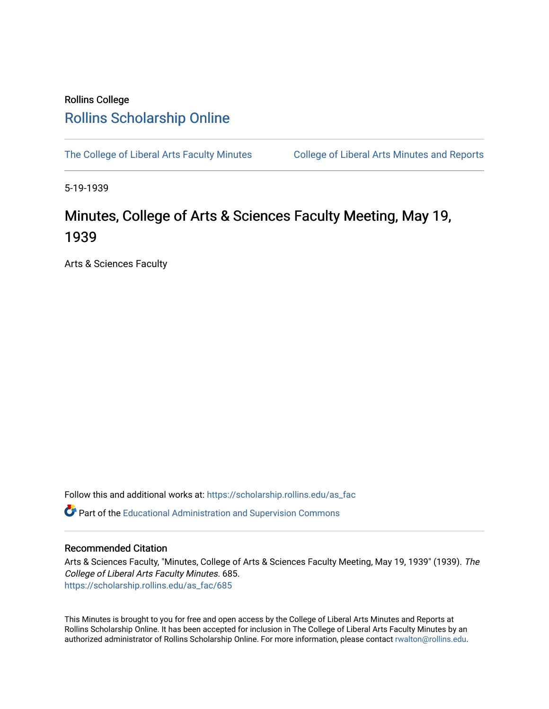## Rollins College [Rollins Scholarship Online](https://scholarship.rollins.edu/)

[The College of Liberal Arts Faculty Minutes](https://scholarship.rollins.edu/as_fac) College of Liberal Arts Minutes and Reports

5-19-1939

## Minutes, College of Arts & Sciences Faculty Meeting, May 19, 1939

Arts & Sciences Faculty

Follow this and additional works at: [https://scholarship.rollins.edu/as\\_fac](https://scholarship.rollins.edu/as_fac?utm_source=scholarship.rollins.edu%2Fas_fac%2F685&utm_medium=PDF&utm_campaign=PDFCoverPages) 

**P** Part of the [Educational Administration and Supervision Commons](http://network.bepress.com/hgg/discipline/787?utm_source=scholarship.rollins.edu%2Fas_fac%2F685&utm_medium=PDF&utm_campaign=PDFCoverPages)

## Recommended Citation

Arts & Sciences Faculty, "Minutes, College of Arts & Sciences Faculty Meeting, May 19, 1939" (1939). The College of Liberal Arts Faculty Minutes. 685. [https://scholarship.rollins.edu/as\\_fac/685](https://scholarship.rollins.edu/as_fac/685?utm_source=scholarship.rollins.edu%2Fas_fac%2F685&utm_medium=PDF&utm_campaign=PDFCoverPages) 

This Minutes is brought to you for free and open access by the College of Liberal Arts Minutes and Reports at Rollins Scholarship Online. It has been accepted for inclusion in The College of Liberal Arts Faculty Minutes by an authorized administrator of Rollins Scholarship Online. For more information, please contact [rwalton@rollins.edu](mailto:rwalton@rollins.edu).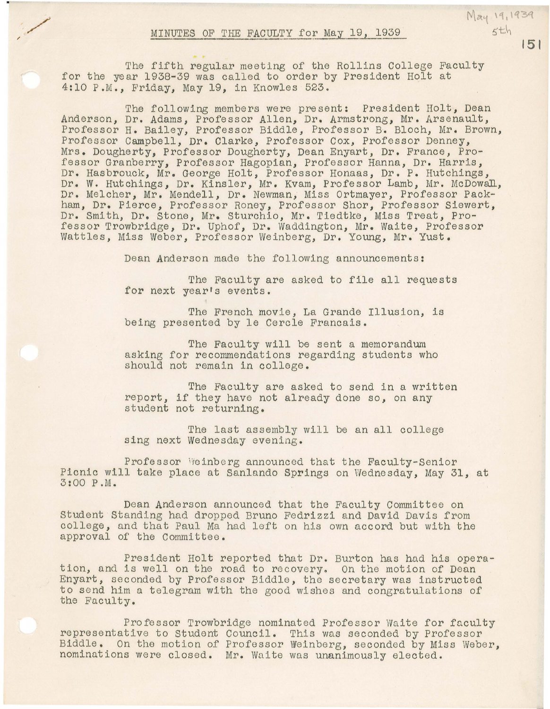The fifth regular meeting of the Rollins College Faculty for the year 1938-39 was called to order by President Holt at 4:10 P.M., Friday, May 19, in Knowles 523.

The following members were present: President Holt, Dean Anderson, Dr. Adams, Professor Allen, Dr. Armstrong, Mr. Arsenault, Professor H. Bailey, Professor Biddle, Professor B. Bloch, Mr. Brown, Professor Campbell, Dr. Clarke, Professor Cox, Professor Denney, Mrs. Dougherty, Professor Dougherty, Dean Enyart, Dr. France, Professor Granberry, Professor Hagopian, Professor Hanna, Dr. Harris, Dr. Hasbrouck, Mr. George Holt, Professor Honaas, Dr. P. Hutchings, Dr. W. Hutchings, Dr. Kinsler, Mr. Kvam, Professor Lamb, Mr. McDowall, Dr. Melcher, Mr. Mendell, Dr. Newman, Miss Ortmayer, Professor Packham, Dr. Pierce, Professor Roney, Professor Shor, Professor Siewert, Dr. Smith, Dr. stone, Mr. Sturchio, Mr. Tiedtke, Miss Treat, Professor Trowbridge, Dr. Uphof, Dr. Waddington, Mr. Waite, Professor Wattles, Miss Weber, Professor Weinberg, Dr. Young, Mr. Yust.

Dean Anderson made the following announcements:

The Faculty are asked to file all requests for next year's events.

The French movie, La Grande Illusion, is being presented by le Cercle Francais.

The Faculty will be sent a memorandum asking for recommendations regarding students who should not remain in college.

The Faculty are asked to send in a written report, if they have not already done so, on any student not returning.

The last assembly will be an all college sing next Wednesday evening.

Professor Weinberg announced that the Faculty-Senior Picnic will take place at Sanlando Springs on Wednesday, May 31, at 3:00 P.M.

Dean Anderson announced that the Faculty Committee on Student Standing had dropped Bruno Fedrizzi and David Davis from college, and that Paul Ma had left on his own accord but with the approval of the Committee.

President Holt reported that Dr. Burton has had his opera-<br>tion, and is well on the road to recovery. On the motion of Dean Enyart, seconded by Professor Biddle, the secretary was instructed to send him a telegram with the good wishes and congratulations of the Faculty.

Professor Trowbridge nominated Professor Waite for faculty<br>representative to Student Council. This was seconded by Professor Biddle. On the motion of Professor Weinberg, seconded by Miss Weber, nominations were closed. Mr. Waite was unanimously elected.

**151** 

May 19, 1939  $5th$